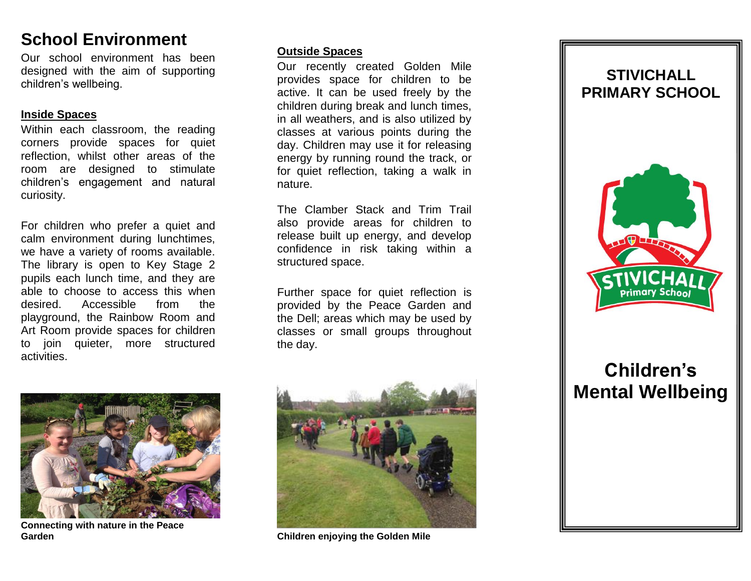## **School Environment**

Our school environment has been designed with the aim of supporting children's wellbeing.

#### **Inside Spaces**

Within each classroom, the reading corners provide spaces for quiet reflection, whilst other areas of the room are designed to stimulate children's engagement and natural curiosity.

For children who prefer a quiet and calm environment during lunchtimes, we have a variety of rooms available. The library is open to Key Stage 2 pupils each lunch time, and they are able to choose to access this when desired. Accessible from the playground, the Rainbow Room and Art Room provide spaces for children to join quieter, more structured activities.



**Connecting with nature in the Peace Garden**

#### **Outside Spaces**

Our recently created Golden Mile provides space for children to be active. It can be used freely by the children during break and lunch times, in all weathers, and is also utilized by classes at various points during the day. Children may use it for releasing energy by running round the track, or for quiet reflection, taking a walk in nature.

The Clamber Stack and Trim Trail also provide areas for children to release built up energy, and develop confidence in risk taking within a structured space.

Further space for quiet reflection is provided by the Peace Garden and the Dell; areas which may be used by classes or small groups throughout the day.



**Children enjoying the Golden Mile**

## **STIVICHALL PRIMARY SCHOOL**



# **Children's Mental Wellbeing**